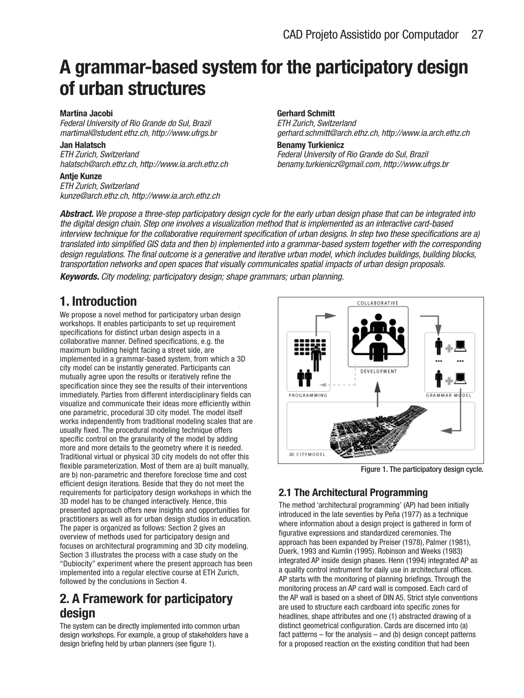# **A grammar-based system for the participatory design of urban structures**

#### **Martina Jacobi**

Federal University of Rio Grande do Sul, Brazil martimal@student.ethz.ch, http://www.ufrgs.br

#### **Jan Halatsch**

ETH Zurich, Switzerland halatsch@arch.ethz.ch, http://www.ia.arch.ethz.ch

#### **Antje Kunze**

ETH Zurich, Switzerland kunze@arch.ethz.ch, http://www.ia.arch.ethz.ch

### **Gerhard Schmitt**

ETH Zurich, Switzerland gerhard.schmitt@arch.ethz.ch, http://www.ia.arch.ethz.ch

#### **Benamy Turkienicz** Federal University of Rio Grande do Sul, Brazil benamy.turkienicz@gmail.com, http://www.ufrgs.br

**Abstract.** We propose a three-step participatory design cycle for the early urban design phase that can be integrated into the digital design chain. Step one involves a visualization method that is implemented as an interactive card-based interview technique for the collaborative requirement specification of urban designs. In step two these specifications are a) translated into simplified GIS data and then b) implemented into a grammar-based system together with the corresponding design regulations. The final outcome is a generative and iterative urban model, which includes buildings, building blocks, transportation networks and open spaces that visually communicates spatial impacts of urban design proposals.

**Keywords.** City modeling; participatory design; shape grammars; urban planning.

# **1. Introduction**

We propose a novel method for participatory urban design workshops. It enables participants to set up requirement specifications for distinct urban design aspects in a collaborative manner. Defined specifications, e.g. the maximum building height facing a street side, are implemented in a grammar-based system, from which a 3D city model can be instantly generated. Participants can mutually agree upon the results or iteratively refine the specification since they see the results of their interventions immediately. Parties from different interdisciplinary fields can visualize and communicate their ideas more efficiently within one parametric, procedural 3D city model. The model itself works independently from traditional modeling scales that are usually fixed. The procedural modeling technique offers specific control on the granularity of the model by adding more and more details to the geometry where it is needed. Traditional virtual or physical 3D city models do not offer this flexible parameterization. Most of them are a) built manually, are b) non-parametric and therefore foreclose time and cost efficient design iterations. Beside that they do not meet the requirements for participatory design workshops in which the 3D model has to be changed interactively. Hence, this presented approach offers new insights and opportunities for practitioners as well as for urban design studios in education. The paper is organized as follows: Section 2 gives an overview of methods used for participatory design and focuses on architectural programming and 3D city modeling. Section 3 illustrates the process with a case study on the "Dubiocity" experiment where the present approach has been implemented into a regular elective course at ETH Zurich, followed by the conclusions in Section 4.

# **2. A Framework for participatory design**

The system can be directly implemented into common urban design workshops. For example, a group of stakeholders have a design briefing held by urban planners (see figure 1).



Figure 1. The participatory design cycle.

## **2.1 The Architectural Programming**

The method 'architectural programming' (AP) had been initially introduced in the late seventies by Peña (1977) as a technique where information about a design project is gathered in form of figurative expressions and standardized ceremonies. The approach has been expanded by Preiser (1978), Palmer (1981), Duerk, 1993 and Kumlin (1995). Robinson and Weeks (1983) integrated AP inside design phases. Henn (1994) integrated AP as a quality control instrument for daily use in architectural offices. AP starts with the monitoring of planning briefings. Through the monitoring process an AP card wall is composed. Each card of the AP wall is based on a sheet of DIN A5. Strict style conventions are used to structure each cardboard into specific zones for headlines, shape attributes and one (1) abstracted drawing of a distinct geometrical configuration. Cards are discerned into (a) fact patterns  $-$  for the analysis  $-$  and (b) design concept patterns for a proposed reaction on the existing condition that had been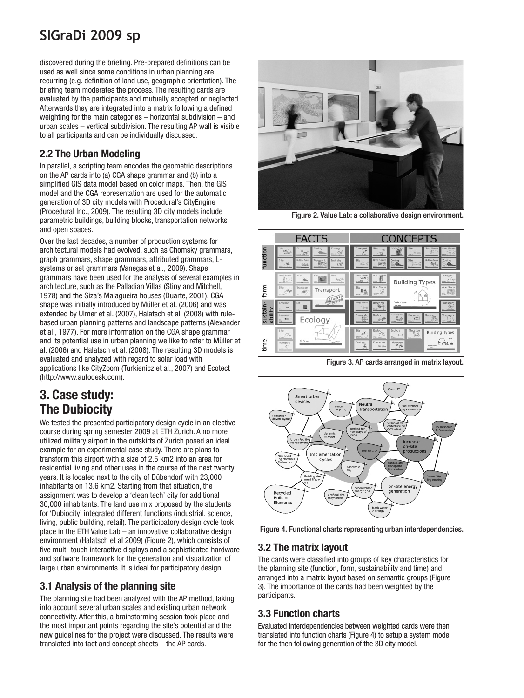# **SIGraDi 2009 sp**

discovered during the briefing. Pre-prepared definitions can be used as well since some conditions in urban planning are recurring (e.g. definition of land use, geographic orientation). The briefing team moderates the process. The resulting cards are evaluated by the participants and mutually accepted or neglected. Afterwards they are integrated into a matrix following a defined weighting for the main categories – horizontal subdivision – and urban scales – vertical subdivision. The resulting AP wall is visible to all participants and can be individually discussed.

## **2.2 The Urban Modeling**

In parallel, a scripting team encodes the geometric descriptions on the AP cards into (a) CGA shape grammar and (b) into a simplified GIS data model based on color maps. Then, the GIS model and the CGA representation are used for the automatic generation of 3D city models with Procedural's CityEngine (Procedural Inc., 2009). The resulting 3D city models include parametric buildings, building blocks, transportation networks and open spaces.

Over the last decades, a number of production systems for architectural models had evolved, such as Chomsky grammars, graph grammars, shape grammars, attributed grammars, Lsystems or set grammars (Vanegas et al., 2009). Shape grammars have been used for the analysis of several examples in architecture, such as the Palladian Villas (Stiny and Mitchell, 1978) and the Siza's Malagueira houses (Duarte, 2001). CGA shape was initially introduced by Müller et al. (2006) and was extended by Ulmer et al. (2007), Halatsch et al. (2008) with rulebased urban planning patterns and landscape patterns (Alexander et al., 1977). For more information on the CGA shape grammar and its potential use in urban planning we like to refer to Müller et al. (2006) and Halatsch et al. (2008). The resulting 3D models is evaluated and analyzed with regard to solar load with applications like CityZoom (Turkienicz et al., 2007) and Ecotect (http://www.autodesk.com).

## **3. Case study: The Dubiocity**

We tested the presented participatory design cycle in an elective course during spring semester 2009 at ETH Zurich. A no more utilized military airport in the outskirts of Zurich posed an ideal example for an experimental case study. There are plans to transform this airport with a size of 2.5 km2 into an area for residential living and other uses in the course of the next twenty years. It is located next to the city of Dübendorf with 23,000 inhabitants on 13.6 km2. Starting from that situation, the assignment was to develop a 'clean tech' city for additional 30,000 inhabitants. The land use mix proposed by the students for 'Dubiocity' integrated different functions (industrial, science, living, public building, retail). The participatory design cycle took place in the ETH Value Lab – an innovative collaborative design environment (Halatsch et al 2009) (Figure 2), which consists of five multi-touch interactive displays and a sophisticated hardware and software framework for the generation and visualization of large urban environments. It is ideal for participatory design.

## **3.1 Analysis of the planning site**

The planning site had been analyzed with the AP method, taking into account several urban scales and existing urban network connectivity. After this, a brainstorming session took place and the most important points regarding the site's potential and the new guidelines for the project were discussed. The results were translated into fact and concept sheets – the AP cards.



Figure 2. Value Lab: a collaborative design environment.



Figure 3. AP cards arranged in matrix layout.



Figure 4. Functional charts representing urban interdependencies.

## **3.2 The matrix layout**

The cards were classified into groups of key characteristics for the planning site (function, form, sustainability and time) and arranged into a matrix layout based on semantic groups (Figure 3). The importance of the cards had been weighted by the participants.

## **3.3 Function charts**

Evaluated interdependencies between weighted cards were then translated into function charts (Figure 4) to setup a system model for the then following generation of the 3D city model.